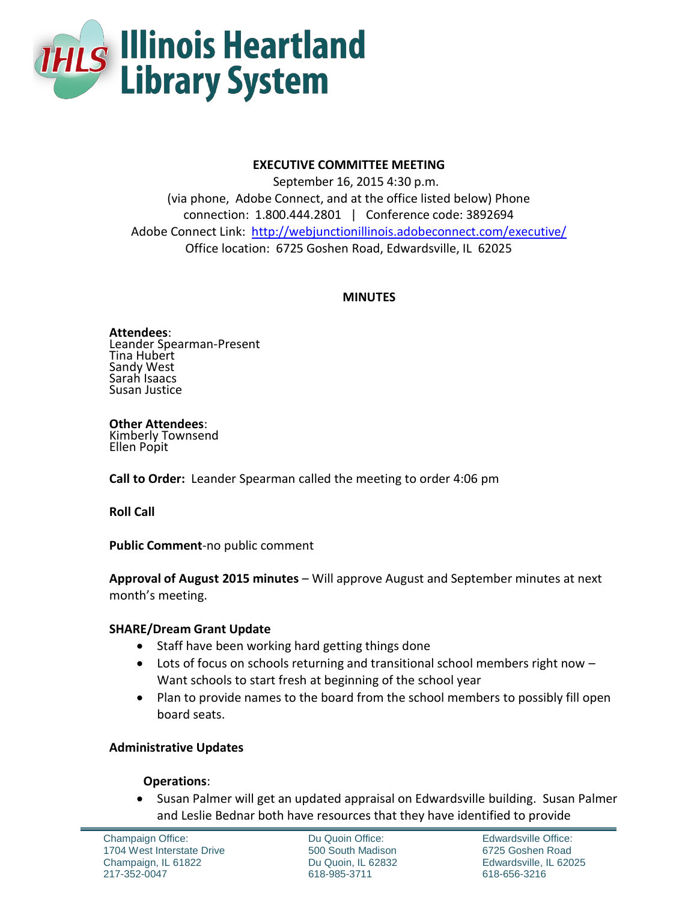

# **EXECUTIVE COMMITTEE MEETING**

September 16, 2015 4:30 p.m. (via phone, Adobe Connect, and at the office listed below) Phone connection: 1.800.444.2801 | Conference code: 3892694 Adobe Connect Link: <http://webjunctionillinois.adobeconnect.com/executive/> Office location: 6725 Goshen Road, Edwardsville, IL 62025

## **MINUTES**

**Attendees**: Leander Spearman-Present Tina Hubert Sandy West Sarah Isaacs Susan Justice

**Other Attendees**: Kimberly Townsend Ellen Popit

**Call to Order:** Leander Spearman called the meeting to order 4:06 pm

**Roll Call**

**Public Comment**-no public comment

**Approval of August 2015 minutes** – Will approve August and September minutes at next month's meeting.

# **SHARE/Dream Grant Update**

- Staff have been working hard getting things done
- Lots of focus on schools returning and transitional school members right now -Want schools to start fresh at beginning of the school year
- Plan to provide names to the board from the school members to possibly fill open board seats.

# **Administrative Updates**

# **Operations**:

• Susan Palmer will get an updated appraisal on Edwardsville building. Susan Palmer and Leslie Bednar both have resources that they have identified to provide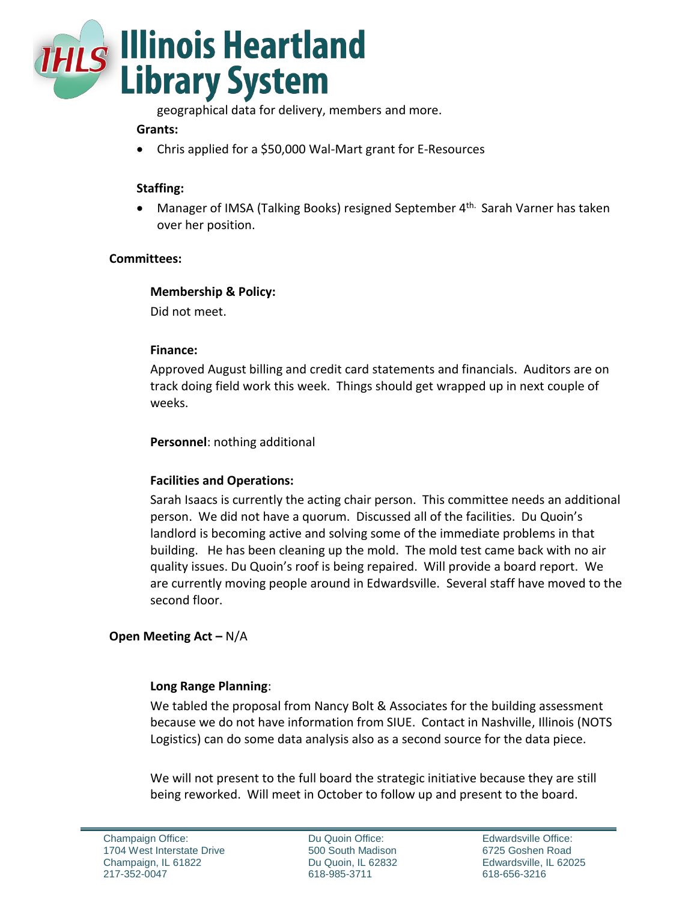

geographical data for delivery, members and more.

## **Grants:**

Chris applied for a \$50,000 Wal-Mart grant for E-Resources

# **Staffing:**

 Manager of IMSA (Talking Books) resigned September 4th. Sarah Varner has taken over her position.

#### **Committees:**

#### **Membership & Policy:**

Did not meet.

#### **Finance:**

Approved August billing and credit card statements and financials. Auditors are on track doing field work this week. Things should get wrapped up in next couple of weeks.

**Personnel**: nothing additional

#### **Facilities and Operations:**

Sarah Isaacs is currently the acting chair person. This committee needs an additional person. We did not have a quorum. Discussed all of the facilities. Du Quoin's landlord is becoming active and solving some of the immediate problems in that building. He has been cleaning up the mold. The mold test came back with no air quality issues. Du Quoin's roof is being repaired. Will provide a board report. We are currently moving people around in Edwardsville. Several staff have moved to the second floor.

# **Open Meeting Act –** N/A

#### **Long Range Planning**:

We tabled the proposal from Nancy Bolt & Associates for the building assessment because we do not have information from SIUE. Contact in Nashville, Illinois (NOTS Logistics) can do some data analysis also as a second source for the data piece.

We will not present to the full board the strategic initiative because they are still being reworked. Will meet in October to follow up and present to the board.

Du Quoin Office: 500 South Madison Du Quoin, IL 62832 618-985-3711

Edwardsville Office: 6725 Goshen Road Edwardsville, IL 62025 618-656-3216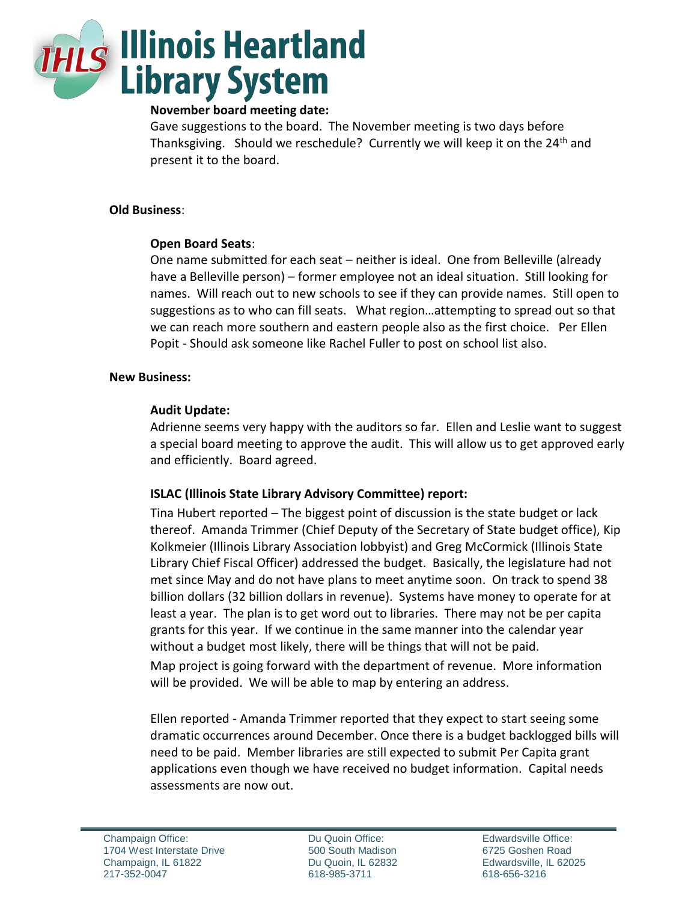

## **November board meeting date:**

Gave suggestions to the board. The November meeting is two days before Thanksgiving. Should we reschedule? Currently we will keep it on the 24<sup>th</sup> and present it to the board.

## **Old Business**:

# **Open Board Seats**:

One name submitted for each seat – neither is ideal. One from Belleville (already have a Belleville person) – former employee not an ideal situation. Still looking for names. Will reach out to new schools to see if they can provide names. Still open to suggestions as to who can fill seats. What region…attempting to spread out so that we can reach more southern and eastern people also as the first choice. Per Ellen Popit - Should ask someone like Rachel Fuller to post on school list also.

## **New Business:**

## **Audit Update:**

Adrienne seems very happy with the auditors so far. Ellen and Leslie want to suggest a special board meeting to approve the audit. This will allow us to get approved early and efficiently. Board agreed.

# **ISLAC (Illinois State Library Advisory Committee) report:**

Tina Hubert reported – The biggest point of discussion is the state budget or lack thereof. Amanda Trimmer (Chief Deputy of the Secretary of State budget office), Kip Kolkmeier (Illinois Library Association lobbyist) and Greg McCormick (Illinois State Library Chief Fiscal Officer) addressed the budget. Basically, the legislature had not met since May and do not have plans to meet anytime soon. On track to spend 38 billion dollars (32 billion dollars in revenue). Systems have money to operate for at least a year. The plan is to get word out to libraries. There may not be per capita grants for this year. If we continue in the same manner into the calendar year without a budget most likely, there will be things that will not be paid.

Map project is going forward with the department of revenue. More information will be provided. We will be able to map by entering an address.

Ellen reported - Amanda Trimmer reported that they expect to start seeing some dramatic occurrences around December. Once there is a budget backlogged bills will need to be paid. Member libraries are still expected to submit Per Capita grant applications even though we have received no budget information. Capital needs assessments are now out.

Du Quoin Office: 500 South Madison Du Quoin, IL 62832 618-985-3711

Edwardsville Office: 6725 Goshen Road Edwardsville, IL 62025 618-656-3216